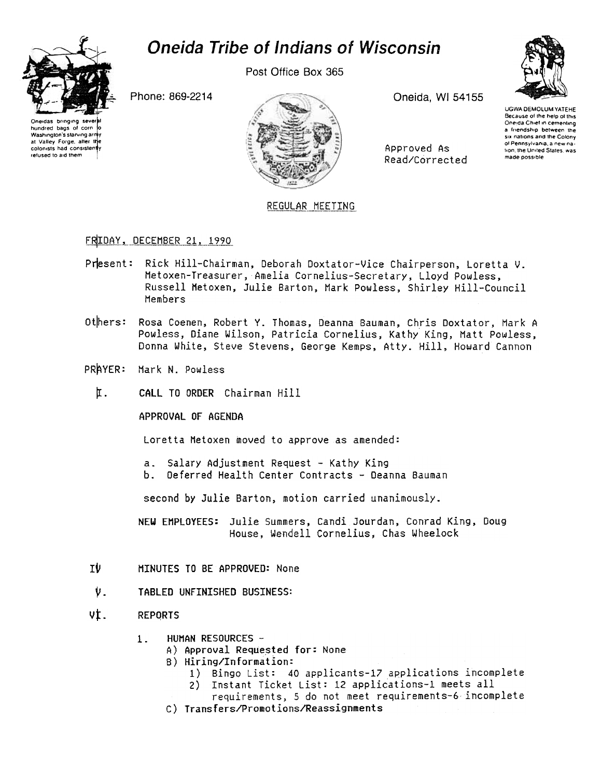# **Oneida Tribe of Indians of Wisconsin**



hundred bags of corn

Washington's starving arr

at Valley Forge, after th

colonists had consister

refused to aid them

Post Office Box 365

Oneida, WI 54155

Approved As

Read/Corrected



**UGWA DEMOLUM YATEHE** Because of the help of this<br>Oneida Chief in cementing a friendship between the six nations and the Colony of Pennsylvania, a new nation, the United States, was made possible

Phone: 869-2214



# REGULAR MEETING

# FRIDAY, DECEMBER 21, 1990

- Present: Rick Hill-Chairman, Deborah Doxtator-Vice Chairperson, Loretta V. Metoxen-Treasurer, Amelia Cornelius-Secretary, Lloyd Powless, Russell Metoxen, Julie Barton, Mark Powless, Shirley Hill-Council Members
- Others: Rosa Coenen, Robert Y. Thomas, Deanna Bauman, Chris Doxtator, Mark A Powless, Diane Wilson, Patricia Cornelius, Kathy King, Matt Powless, Donna White, Steve Stevens, George Kemps, Atty. Hill, Howard Cannon
- PRAYER: Mark N. Powless
	- 仜. CALL TO ORDER Chairman Hill

APPROVAL OF AGENDA

Loretta Metoxen moved to approve as amended:

- Salary Adjustment Request Kathy King  $a_{-}$
- Ъ. Deferred Health Center Contracts - Deanna Bauman

second by Julie Barton, motion carried unanimously.

NEW EMPLOYEES: Julie Summers, Candi Jourdan, Conrad King, Doug House, Wendell Cornelius, Chas Wheelock

- ΤVΙ MINUTES TO BE APPROVED: None
- ν. TABLED UNFINISHED BUSINESS:
- vt. **REPORTS** 
	- HUMAN RESOURCES - $1<sup>1</sup>$ 
		- A) Approval Requested for: None
		- B) Hiring/Information:
			- 1) Bingo List: 40 applicants-17 applications incomplete
			- Instant Ticket List: 12 applications-1 meets all  $2)$
			- requirements, 5 do not meet requirements-6 incomplete
		- C) Transfers/Promotions/Reassignments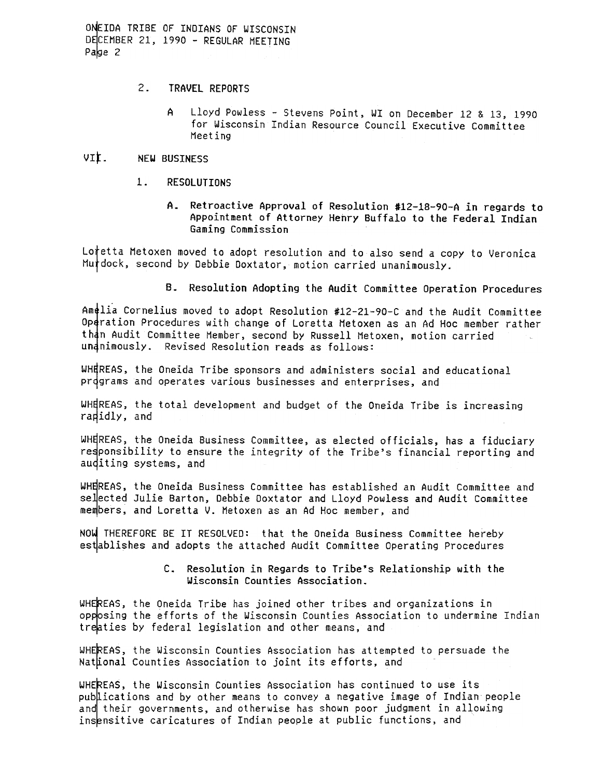- $2.$ TRAVEL REPORTS
	- Lloyd Powless Stevens Point, WI on December 12 & 13, 1990 A for Wisconsin Indian Resource Council Executive Committee Meeting

#### VII. NEW BUSINESS

- $1<sub>1</sub>$ **RESOLUTIONS** 
	- Retroactive Approval of Resolution #12-18-90-A in regards to  $A_{-}$ Appointment of Attorney Henry Buffalo to the Federal Indian Gaming Commission

Lotetta Metoxen moved to adopt resolution and to also send a copy to Veronica Murdock, second by Debbie Doxtator, motion carried unanimously.

B. Resolution Adopting the Audit Committee Operation Procedures

Amelia Cornelius moved to adopt Resolution #12-21-90-C and the Audit Committee Operation Procedures with change of Loretta Metoxen as an Ad Hoc member rather than Audit Committee Member, second by Russell Metoxen, motion carried undnimously. Revised Resolution reads as follows:

WHEREAS, the Oneida Tribe sponsors and administers social and educational programs and operates various businesses and enterprises, and

WHEREAS, the total development and budget of the Oneida Tribe is increasing rapidly, and

WHEREAS, the Oneida Business Committee, as elected officials, has a fiduciary responsibility to ensure the integrity of the Tribe's financial reporting and auditing systems, and

WHEREAS, the Oneida Business Committee has established an Audit Committee and selected Julie Barton, Debbie Doxtator and Lloyd Powless and Audit Committee members, and Loretta V. Metoxen as an Ad Hoc member, and

NOW THEREFORE BE IT RESOLVED: that the Oneida Business Committee hereby establishes and adopts the attached Audit Committee Operating Procedures

## C. Resolution in Regards to Tribe's Relationship with the Wisconsin Counties Association.

WHEREAS, the Oneida Tribe has joined other tribes and organizations in opposing the efforts of the Wisconsin Counties Association to undermine Indian treaties by federal legislation and other means, and

WHEREAS, the Wisconsin Counties Association has attempted to persuade the Nattional Counties Association to joint its efforts, and

WHEREAS, the Wisconsin Counties Association has continued to use its publications and by other means to convey a negative image of Indian people and their governments, and otherwise has shown poor judgment in allowing insensitive caricatures of Indian people at public functions, and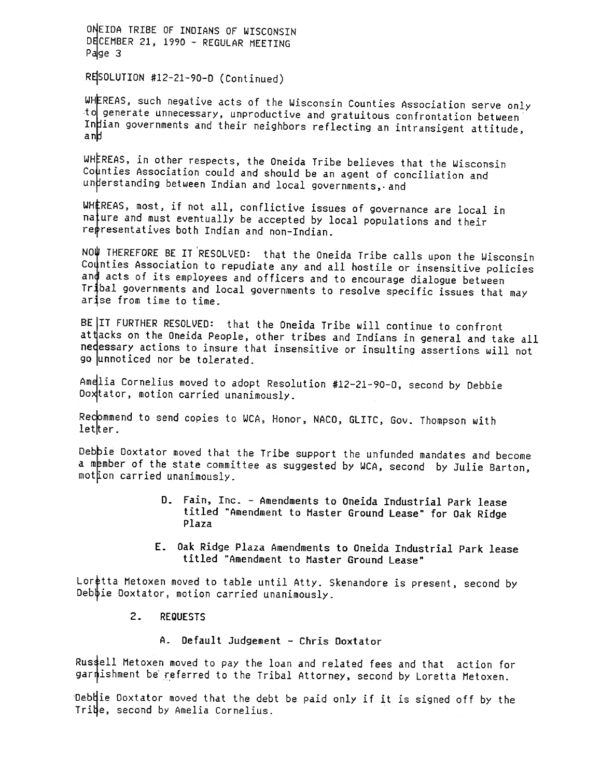RESOLUTION #12-21-90-D (Continued)

WHEREAS, such negative acts of the Wisconsin Counties Association serve only to generate unnecessary, unproductive and gratuitous confrontation between In ian governments and their neighbors reflecting an intransigent attitude, an

WHEREAS, in other respects, the Oneida Tribe believes that the Wisconsin Counties Association could and should be an agent of conciliation and understanding between Indian and local governments, and

WHEREAS, most, if not all, conflictive issues of governance are local in  $na$   $t$ ure and must eventually be accepted by local populations and their representatives both Indian and non-Indian.

NO! THEREFORE BE IT 'RESOLVED: that the Oneida Tribe calls upon the Wisconsin Counties Association to repudiate any and all hostile or insensitive policies and acts of its employees and officers and to encourage dialogue between Tr bal governments and local governments to resolve specific issues that may arise from time to time.

BE IT FURTHER RESOLVED: that the Oneida Tribe will continue to confront at tacks on the Oneida People, other tribes and Indians in general and take all nedessary actions to insure that insensitive or insulting assertions will not go unnoticed nor be tolerated.

Amelia Cornelius moved to adopt Resolution #12-21-90-D, second by Debbie Doxtator, motion carried unanimously.

Recommend to send copies to WCA, Honor, NACO, GLITC, Gov. Thompson with letter.

Debbie Doxtator moved that the Tribe support the unfunded mandates and become a member of the state committee as suggested by WCA, second by Julie Barton, mothon carried unanimously.

- D. Fain, Inc. Amendments to Oneida Industrial Park lease titled "Amendment to Master Ground Lease" for Oak Ridge Plaza
- E. Oak Ridge Plaza Amendments to Oneida Industrial Park lease titled "Amendment to Master Ground Lease"

Loretta Metoxen moved to table until Atty. Skenandore is present, second by Deb $\psi$ ie Doxtator, motion carried unanimously.

#### $2.$ REQUESTS

A. Default Judgement -Chris Ooxtator

Rus4ell Metoxen moved to pay the loan and related fees and that action for garnishment be referred to the Tribal Attorney, second by Loretta Metoxen.

'Deb $\sharp$ ie Doxtator moved that the debt be paid only if it is signed off by the Tribe, second by Amelia Cornelius.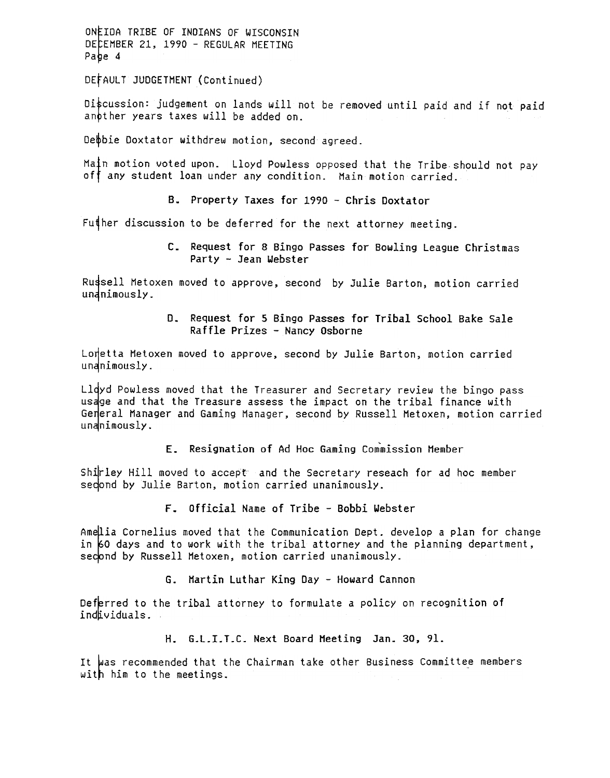DEtAULT JUDGETHENT (Continued)

Discussion: judgement on lands will not be removed until paid and if not paid anpther years taxes will be added on.

Debbie Doxtator withdrew motion, second agreed.

Matn motion voted upon. Lloyd Powless opposed that the Tribe should not pay off any student loan under any condition. Main motion carried.

B. Property Taxes for 1990 - Chris Doxtator

Fu $\sharp$ her discussion to be deferred for the next attorney meeting.

c. Request for 8 Bingo Passes for Bowling League Christmas Party - Jean Webster

Russell Metoxen moved to approve, second by Julie Barton, motion carried unanimously.

> D. Request for 5 Bingo Passes for Tribal School Bake Sale Raffle Prizes - Nancy Osborne

Lonetta Metoxen moved to approve, second by Julie Barton, motion carried unanimously.

Lldyd Powless moved that the Treasurer and Secretary review the bingo pass usage and that the Treasure assess the impact on the tribal finance with General Manager and Gaming Manager, second by Russell Metoxen, motion carried  $undninously.$ 

E. Resignation of Ad Hoc Gaming Commission Member

Shirley Hill moved to accept and the Secretary reseach for ad hoc member sedond by Julie Barton, motion carried unanimously.

F. official Name of Tribe -Bobbi Webster

Amellia Cornelius moved that the Communication Dept. develop a plan for change in  $60$  days and to work with the tribal attorney and the planning department, second by Russell Metoxen, motion carried unanimously.

G. Martin Luthar King Day -Howard Cannon

Deferred to the tribal attorney to formulate a policy on recognition of individuals.

G.L.I.T.C. Next Board Meeting H. 30, 91.

It was recommended that the Chairman take other Business Committee members with him to the meetings.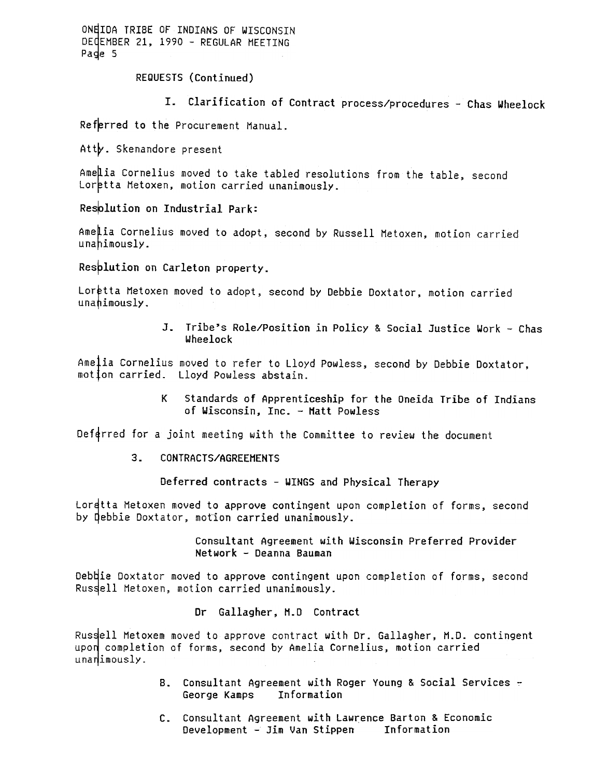REQUESTS (Continued)

T. Clarification of Contract process/procedures -Chas Wheelock

Referred to the Procurement Manual.

Atty. Skenandore present

Ame lia Cornelius moved to take tabled resolutions from the table, second Loretta Metoxen, motion carried unanimously.

Resplution on Industrial Park:

Amelia Cornelius moved to adopt, second by Russell Metoxen, motion carried unahimously.

Resplution on Carleton property.

Loretta Metoxen moved to adopt, second by Debbie Doxtator, motion carried  $unahimously.$ 

> Tribe's Role/Position in Policy & Social Justice Work -Chas Wheelock

Amelia Cornelius moved to refer to Lloyd Powless, second by Debbie Doxtator, motion carried. Lloyd Powless abstain.

> K standards of Apprenticeship for the Oneida Tribe of Indians of Wisconsin, Inc. - Matt Powless

Deferred for a joint meeting with the Committee to review the document

Deferred contracts - WINGS and Physical Therapy

Lorqtta Metoxen moved to approve contingent upon completion of forms, second by debbie Doxtator, motion carried unanimously.

> Consultant Agreement with Wisconsin Preferred Provider Network - Deanna Bauman

Debdie Doxtator moved to approve contingent upon completion of forms, second Russell Metoxen, motion carried unanimously.

### Dr Gallagher, H.D Contract

3. CONTRACTS/AGREEMENTS<br>
Deferred contracts - WJ<br>
Lordtta Metoxen moved to approve cont<br>
by Qebbie Doxtator, motion carried un<br>
Consultant Agreem<br>
Metwork - Deanna<br>
Debbie Doxtator moved to approve cont<br>
Russell Metoxen, m Russell Metoxem moved to approve contract with Dr. Gallagher, M.D. contingent upon completion of forms, second by Amelia Cornelius, motion carried unanimously.

- B. Consultant Agreement with Roger Young & Social Services ~ George Kamps Information
- C. Consultant Agreement with Lawrence Barton & Economi Development -Jim Van Stippen Information